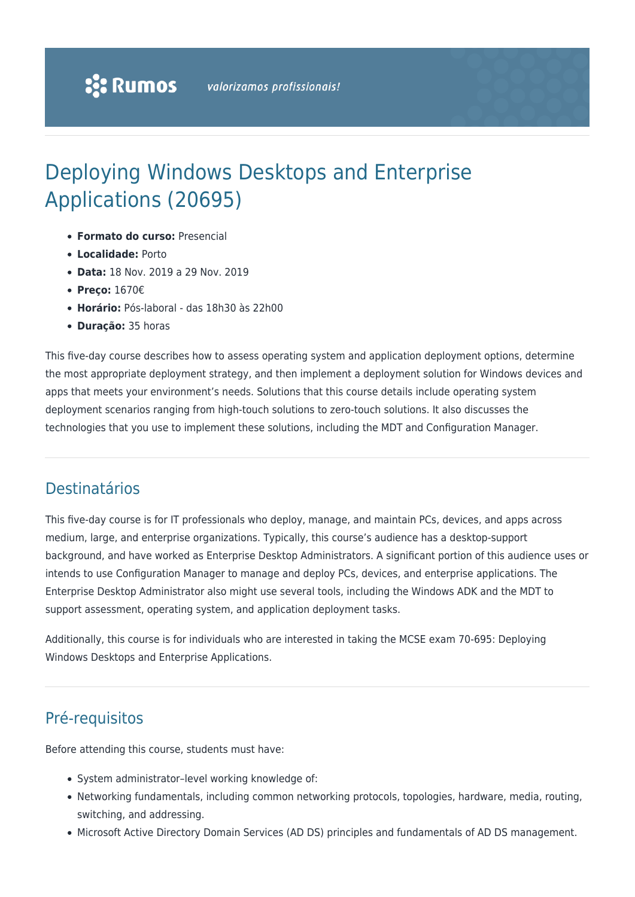# Deploying Windows Desktops and Enterprise Applications (20695)

- **Formato do curso:** Presencial
- **Localidade:** Porto
- **Data:** 18 Nov. 2019 a 29 Nov. 2019
- **Preço:** 1670€
- **Horário:** Pós-laboral das 18h30 às 22h00
- **Duração:** 35 horas

This five-day course describes how to assess operating system and application deployment options, determine the most appropriate deployment strategy, and then implement a deployment solution for Windows devices and apps that meets your environment's needs. Solutions that this course details include operating system deployment scenarios ranging from high-touch solutions to zero-touch solutions. It also discusses the technologies that you use to implement these solutions, including the MDT and Configuration Manager.

## Destinatários

This five-day course is for IT professionals who deploy, manage, and maintain PCs, devices, and apps across medium, large, and enterprise organizations. Typically, this course's audience has a desktop-support background, and have worked as Enterprise Desktop Administrators. A significant portion of this audience uses or intends to use Configuration Manager to manage and deploy PCs, devices, and enterprise applications. The Enterprise Desktop Administrator also might use several tools, including the Windows ADK and the MDT to support assessment, operating system, and application deployment tasks.

Additionally, this course is for individuals who are interested in taking the MCSE exam 70-695: Deploying Windows Desktops and Enterprise Applications.

# Pré-requisitos

Before attending this course, students must have:

- System administrator-level working knowledge of:
- Networking fundamentals, including common networking protocols, topologies, hardware, media, routing, switching, and addressing.
- Microsoft Active Directory Domain Services (AD DS) principles and fundamentals of AD DS management.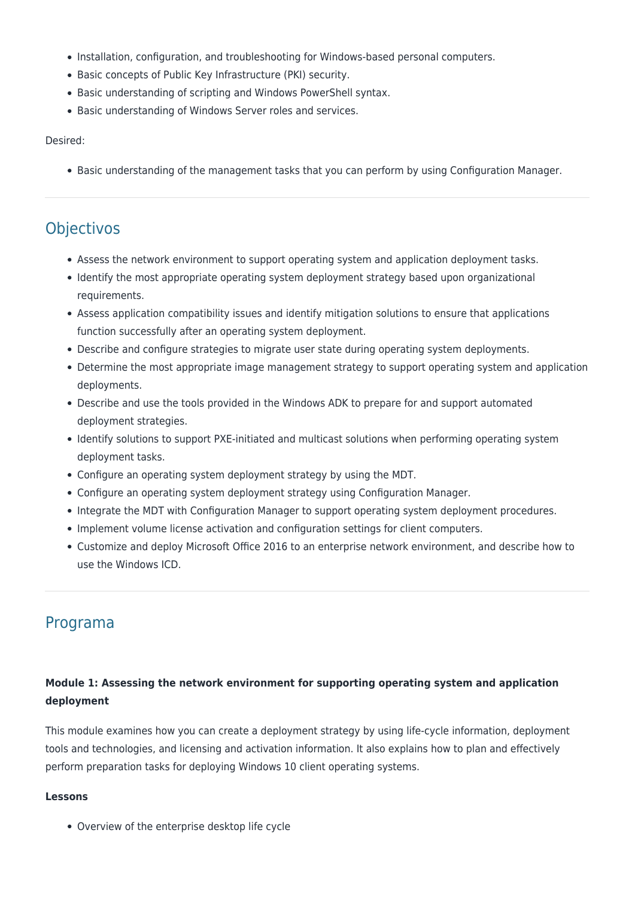- Installation, configuration, and troubleshooting for Windows-based personal computers.
- Basic concepts of Public Key Infrastructure (PKI) security.
- Basic understanding of scripting and Windows PowerShell syntax.
- Basic understanding of Windows Server roles and services.

#### Desired:

Basic understanding of the management tasks that you can perform by using Configuration Manager.

## **Objectivos**

- Assess the network environment to support operating system and application deployment tasks.
- Identify the most appropriate operating system deployment strategy based upon organizational requirements.
- Assess application compatibility issues and identify mitigation solutions to ensure that applications function successfully after an operating system deployment.
- Describe and configure strategies to migrate user state during operating system deployments.
- Determine the most appropriate image management strategy to support operating system and application deployments.
- Describe and use the tools provided in the Windows ADK to prepare for and support automated deployment strategies.
- Identify solutions to support PXE-initiated and multicast solutions when performing operating system deployment tasks.
- Configure an operating system deployment strategy by using the MDT.
- Configure an operating system deployment strategy using Configuration Manager.
- Integrate the MDT with Configuration Manager to support operating system deployment procedures.
- Implement volume license activation and configuration settings for client computers.
- Customize and deploy Microsoft Office 2016 to an enterprise network environment, and describe how to use the Windows ICD.

## Programa

### **Module 1: Assessing the network environment for supporting operating system and application deployment**

This module examines how you can create a deployment strategy by using life-cycle information, deployment tools and technologies, and licensing and activation information. It also explains how to plan and effectively perform preparation tasks for deploying Windows 10 client operating systems.

#### **Lessons**

Overview of the enterprise desktop life cycle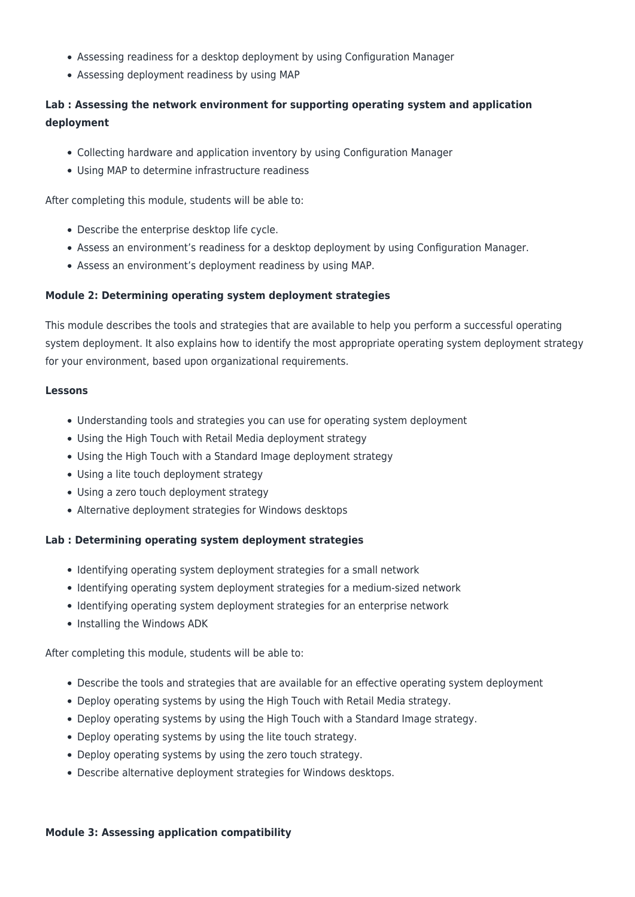- Assessing readiness for a desktop deployment by using Configuration Manager
- Assessing deployment readiness by using MAP

## **Lab : Assessing the network environment for supporting operating system and application deployment**

- Collecting hardware and application inventory by using Configuration Manager
- Using MAP to determine infrastructure readiness

After completing this module, students will be able to:

- Describe the enterprise desktop life cycle.
- Assess an environment's readiness for a desktop deployment by using Configuration Manager.
- Assess an environment's deployment readiness by using MAP.

#### **Module 2: Determining operating system deployment strategies**

This module describes the tools and strategies that are available to help you perform a successful operating system deployment. It also explains how to identify the most appropriate operating system deployment strategy for your environment, based upon organizational requirements.

#### **Lessons**

- Understanding tools and strategies you can use for operating system deployment
- Using the High Touch with Retail Media deployment strategy
- Using the High Touch with a Standard Image deployment strategy
- Using a lite touch deployment strategy
- Using a zero touch deployment strategy
- Alternative deployment strategies for Windows desktops

#### **Lab : Determining operating system deployment strategies**

- Identifying operating system deployment strategies for a small network
- Identifying operating system deployment strategies for a medium-sized network
- Identifying operating system deployment strategies for an enterprise network
- Installing the Windows ADK

After completing this module, students will be able to:

- Describe the tools and strategies that are available for an effective operating system deployment
- Deploy operating systems by using the High Touch with Retail Media strategy.
- Deploy operating systems by using the High Touch with a Standard Image strategy.
- Deploy operating systems by using the lite touch strategy.
- Deploy operating systems by using the zero touch strategy.
- Describe alternative deployment strategies for Windows desktops.

#### **Module 3: Assessing application compatibility**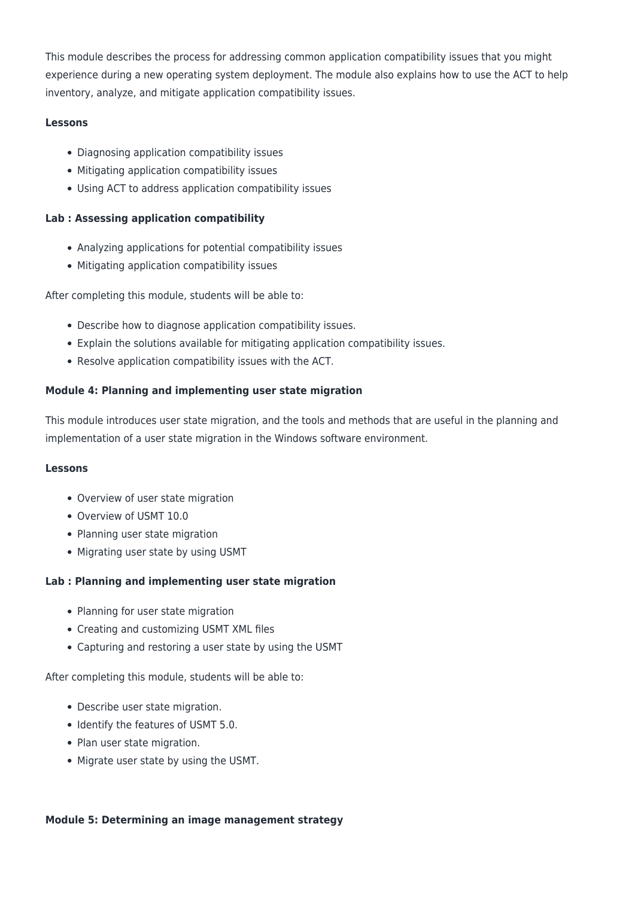This module describes the process for addressing common application compatibility issues that you might experience during a new operating system deployment. The module also explains how to use the ACT to help inventory, analyze, and mitigate application compatibility issues.

#### **Lessons**

- Diagnosing application compatibility issues
- Mitigating application compatibility issues
- Using ACT to address application compatibility issues

#### **Lab : Assessing application compatibility**

- Analyzing applications for potential compatibility issues
- Mitigating application compatibility issues

After completing this module, students will be able to:

- Describe how to diagnose application compatibility issues.
- Explain the solutions available for mitigating application compatibility issues.
- Resolve application compatibility issues with the ACT.

#### **Module 4: Planning and implementing user state migration**

This module introduces user state migration, and the tools and methods that are useful in the planning and implementation of a user state migration in the Windows software environment.

#### **Lessons**

- Overview of user state migration
- Overview of USMT 10.0
- Planning user state migration
- Migrating user state by using USMT

#### **Lab : Planning and implementing user state migration**

- Planning for user state migration
- Creating and customizing USMT XML files
- Capturing and restoring a user state by using the USMT

After completing this module, students will be able to:

- Describe user state migration.
- Identify the features of USMT 5.0.
- Plan user state migration.
- Migrate user state by using the USMT.

#### **Module 5: Determining an image management strategy**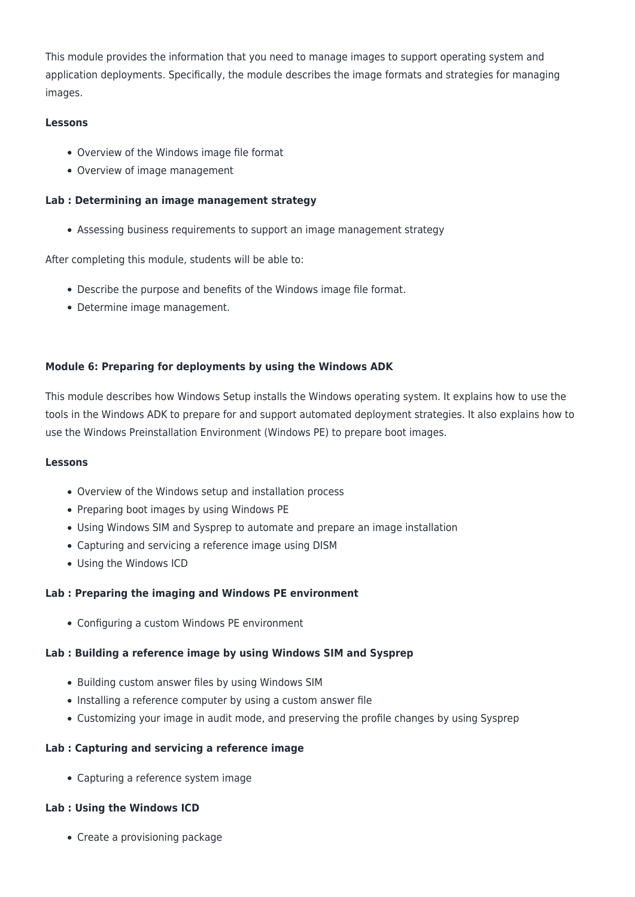This module provides the information that you need to manage images to support operating system and application deployments. Specifically, the module describes the image formats and strategies for managing images.

#### **Lessons**

- Overview of the Windows image file format
- Overview of image management

#### **Lab : Determining an image management strategy**

Assessing business requirements to support an image management strategy

After completing this module, students will be able to:

- Describe the purpose and benefits of the Windows image file format.
- Determine image management.

#### **Module 6: Preparing for deployments by using the Windows ADK**

This module describes how Windows Setup installs the Windows operating system. It explains how to use the tools in the Windows ADK to prepare for and support automated deployment strategies. It also explains how to use the Windows Preinstallation Environment (Windows PE) to prepare boot images.

#### **Lessons**

- Overview of the Windows setup and installation process
- Preparing boot images by using Windows PE
- Using Windows SIM and Sysprep to automate and prepare an image installation
- Capturing and servicing a reference image using DISM
- Using the Windows ICD

#### **Lab : Preparing the imaging and Windows PE environment**

Configuring a custom Windows PE environment

#### **Lab : Building a reference image by using Windows SIM and Sysprep**

- Building custom answer files by using Windows SIM
- Installing a reference computer by using a custom answer file
- Customizing your image in audit mode, and preserving the profile changes by using Sysprep

#### **Lab : Capturing and servicing a reference image**

Capturing a reference system image

#### **Lab : Using the Windows ICD**

• Create a provisioning package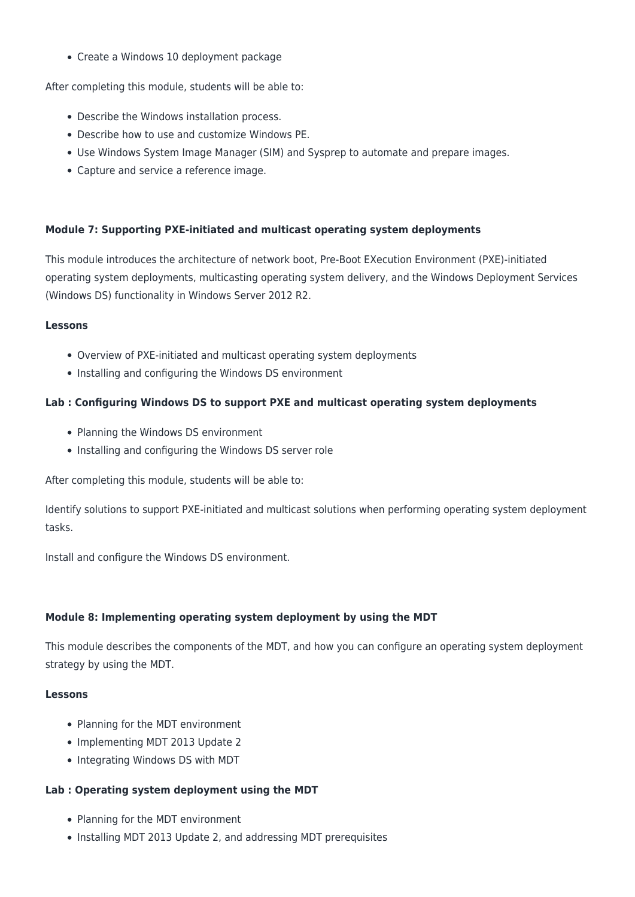Create a Windows 10 deployment package

After completing this module, students will be able to:

- Describe the Windows installation process.
- Describe how to use and customize Windows PE.
- Use Windows System Image Manager (SIM) and Sysprep to automate and prepare images.
- Capture and service a reference image.

#### **Module 7: Supporting PXE-initiated and multicast operating system deployments**

This module introduces the architecture of network boot, Pre-Boot EXecution Environment (PXE)-initiated operating system deployments, multicasting operating system delivery, and the Windows Deployment Services (Windows DS) functionality in Windows Server 2012 R2.

#### **Lessons**

- Overview of PXE-initiated and multicast operating system deployments
- Installing and configuring the Windows DS environment

#### **Lab : Configuring Windows DS to support PXE and multicast operating system deployments**

- Planning the Windows DS environment
- Installing and configuring the Windows DS server role

After completing this module, students will be able to:

Identify solutions to support PXE-initiated and multicast solutions when performing operating system deployment tasks.

Install and configure the Windows DS environment.

#### **Module 8: Implementing operating system deployment by using the MDT**

This module describes the components of the MDT, and how you can configure an operating system deployment strategy by using the MDT.

#### **Lessons**

- Planning for the MDT environment
- Implementing MDT 2013 Update 2
- Integrating Windows DS with MDT

#### **Lab : Operating system deployment using the MDT**

- Planning for the MDT environment
- Installing MDT 2013 Update 2, and addressing MDT prerequisites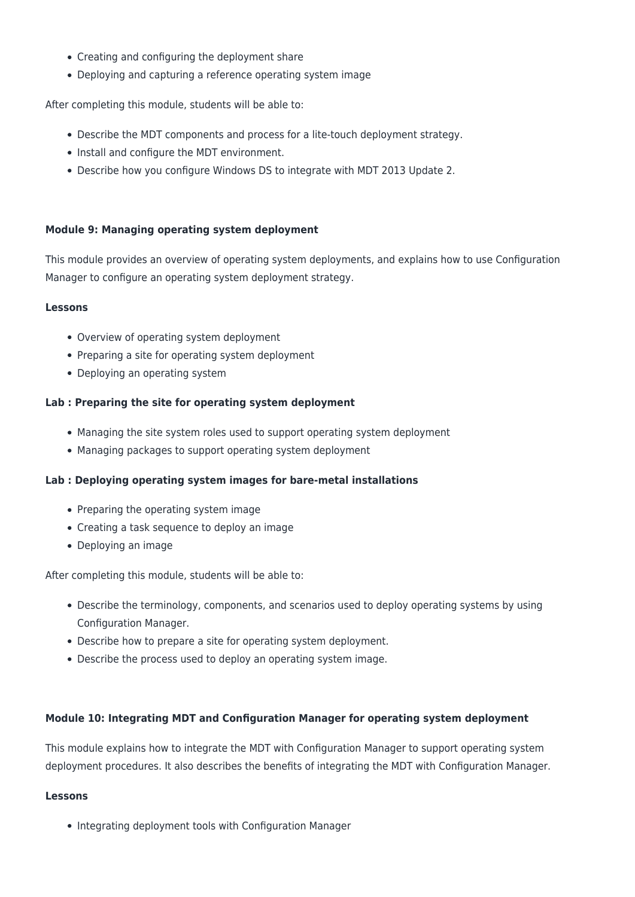- Creating and configuring the deployment share
- Deploying and capturing a reference operating system image

After completing this module, students will be able to:

- Describe the MDT components and process for a lite-touch deployment strategy.
- Install and configure the MDT environment.
- Describe how you configure Windows DS to integrate with MDT 2013 Update 2.

#### **Module 9: Managing operating system deployment**

This module provides an overview of operating system deployments, and explains how to use Configuration Manager to configure an operating system deployment strategy.

#### **Lessons**

- Overview of operating system deployment
- Preparing a site for operating system deployment
- Deploying an operating system

#### **Lab : Preparing the site for operating system deployment**

- Managing the site system roles used to support operating system deployment
- Managing packages to support operating system deployment

#### **Lab : Deploying operating system images for bare-metal installations**

- Preparing the operating system image
- Creating a task sequence to deploy an image
- Deploying an image

After completing this module, students will be able to:

- Describe the terminology, components, and scenarios used to deploy operating systems by using Configuration Manager.
- Describe how to prepare a site for operating system deployment.
- Describe the process used to deploy an operating system image.

#### **Module 10: Integrating MDT and Configuration Manager for operating system deployment**

This module explains how to integrate the MDT with Configuration Manager to support operating system deployment procedures. It also describes the benefits of integrating the MDT with Configuration Manager.

#### **Lessons**

• Integrating deployment tools with Configuration Manager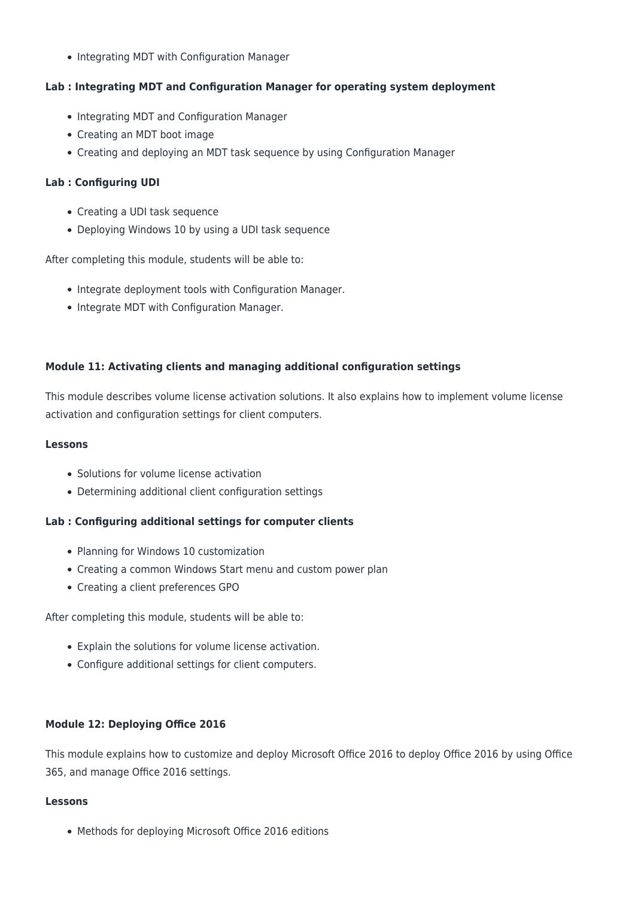• Integrating MDT with Configuration Manager

#### **Lab : Integrating MDT and Configuration Manager for operating system deployment**

- Integrating MDT and Configuration Manager
- Creating an MDT boot image
- Creating and deploying an MDT task sequence by using Configuration Manager

#### **Lab : Configuring UDI**

- Creating a UDI task sequence
- Deploying Windows 10 by using a UDI task sequence

After completing this module, students will be able to:

- Integrate deployment tools with Configuration Manager.
- Integrate MDT with Configuration Manager.

#### **Module 11: Activating clients and managing additional configuration settings**

This module describes volume license activation solutions. It also explains how to implement volume license activation and configuration settings for client computers.

#### **Lessons**

- Solutions for volume license activation
- Determining additional client configuration settings

#### **Lab : Configuring additional settings for computer clients**

- Planning for Windows 10 customization
- Creating a common Windows Start menu and custom power plan
- Creating a client preferences GPO

After completing this module, students will be able to:

- Explain the solutions for volume license activation.
- Configure additional settings for client computers.

#### **Module 12: Deploying Office 2016**

This module explains how to customize and deploy Microsoft Office 2016 to deploy Office 2016 by using Office 365, and manage Office 2016 settings.

#### **Lessons**

Methods for deploying Microsoft Office 2016 editions